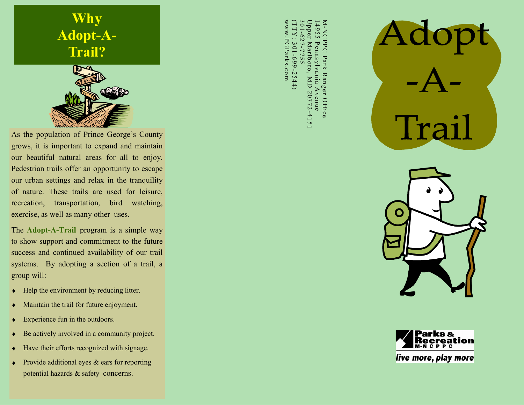



As the population of Prince George's County grows, it is important to expand and maintain our beautiful natural areas for all to enjoy. Pedestrian trails offer an opportunity to escape our urban settings and relax in the tranquility of nature. These trails are used for leisure, recreation, transportation, bird watching, exercise, as well as many other uses.

The **Adopt-A-Trail** program is a simple way to show support and commitment to the future success and continued availability of our trail systems. By adopting a section of a trail, a group will:

- Help the environment by reducing litter.  $\blacklozenge$
- Maintain the trail for future enjoyment.  $\bullet$
- Experience fun in the outdoors.  $\bullet$
- Be actively involved in a community project.  $\bullet$
- Have their efforts recognized with signage.  $\blacklozenge$
- Provide additional eyes & ears for reporting  $\bullet$ potential hazards & safety concerns.

www.PGParks.com $(TTTY: 301-699-2544)$ 301-627-7755 Upper Marlboro, MD 20772 M-NCPPC Park Ranger Office 14955 Pennsylvania Avenue<br>Upper Marlboro, MD 20772-4151 4955 ww.PGParks.com pper Marlboro, MD 20772-4151 -NCPPC  $-627 - 7755$ 301-699-2544 ennsylvania Park Ranger Office Avenue







live more, play more